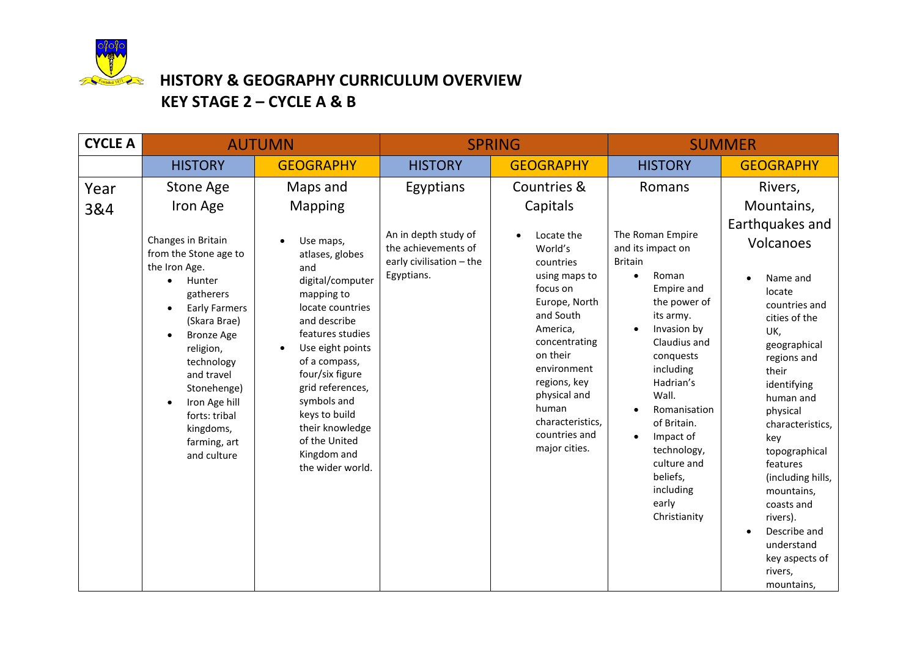

# **HISTORY & GEOGRAPHY CURRICULUM OVERVIEW KEY STAGE 2 – CYCLE A & B**

| <b>CYCLE A</b> | <b>AUTUMN</b>                                                                                                                                                                                                                                                                                                                       |                                                                                                                                                                                                                                                                                                                                         | <b>SPRING</b>                                                                                      |                                                                                                                                                                                                                                                                                              | <b>SUMMER</b>                                                                                                                                                                                                                                                                                                                                                           |                                                                                                                                                                                                                                                                                                                                                                                                    |  |
|----------------|-------------------------------------------------------------------------------------------------------------------------------------------------------------------------------------------------------------------------------------------------------------------------------------------------------------------------------------|-----------------------------------------------------------------------------------------------------------------------------------------------------------------------------------------------------------------------------------------------------------------------------------------------------------------------------------------|----------------------------------------------------------------------------------------------------|----------------------------------------------------------------------------------------------------------------------------------------------------------------------------------------------------------------------------------------------------------------------------------------------|-------------------------------------------------------------------------------------------------------------------------------------------------------------------------------------------------------------------------------------------------------------------------------------------------------------------------------------------------------------------------|----------------------------------------------------------------------------------------------------------------------------------------------------------------------------------------------------------------------------------------------------------------------------------------------------------------------------------------------------------------------------------------------------|--|
|                | <b>HISTORY</b>                                                                                                                                                                                                                                                                                                                      | <b>GEOGRAPHY</b>                                                                                                                                                                                                                                                                                                                        | <b>HISTORY</b>                                                                                     | <b>GEOGRAPHY</b>                                                                                                                                                                                                                                                                             | <b>HISTORY</b>                                                                                                                                                                                                                                                                                                                                                          | <b>GEOGRAPHY</b>                                                                                                                                                                                                                                                                                                                                                                                   |  |
| Year<br>3&4    | <b>Stone Age</b><br>Iron Age<br>Changes in Britain<br>from the Stone age to<br>the Iron Age.<br>Hunter<br>$\bullet$<br>gatherers<br><b>Early Farmers</b><br>(Skara Brae)<br><b>Bronze Age</b><br>religion,<br>technology<br>and travel<br>Stonehenge)<br>Iron Age hill<br>forts: tribal<br>kingdoms,<br>farming, art<br>and culture | Maps and<br>Mapping<br>Use maps,<br>atlases, globes<br>and<br>digital/computer<br>mapping to<br>locate countries<br>and describe<br>features studies<br>Use eight points<br>of a compass,<br>four/six figure<br>grid references,<br>symbols and<br>keys to build<br>their knowledge<br>of the United<br>Kingdom and<br>the wider world. | Egyptians<br>An in depth study of<br>the achievements of<br>early civilisation - the<br>Egyptians. | Countries &<br>Capitals<br>Locate the<br>$\bullet$<br>World's<br>countries<br>using maps to<br>focus on<br>Europe, North<br>and South<br>America,<br>concentrating<br>on their<br>environment<br>regions, key<br>physical and<br>human<br>characteristics,<br>countries and<br>major cities. | Romans<br>The Roman Empire<br>and its impact on<br><b>Britain</b><br>Roman<br>$\bullet$<br>Empire and<br>the power of<br>its army.<br>Invasion by<br>Claudius and<br>conquests<br>including<br>Hadrian's<br>Wall.<br>Romanisation<br>$\bullet$<br>of Britain.<br>Impact of<br>$\bullet$<br>technology,<br>culture and<br>beliefs,<br>including<br>early<br>Christianity | Rivers,<br>Mountains,<br>Earthquakes and<br>Volcanoes<br>Name and<br>locate<br>countries and<br>cities of the<br>UK,<br>geographical<br>regions and<br>their<br>identifying<br>human and<br>physical<br>characteristics,<br>key<br>topographical<br>features<br>(including hills,<br>mountains,<br>coasts and<br>rivers).<br>Describe and<br>understand<br>key aspects of<br>rivers,<br>mountains, |  |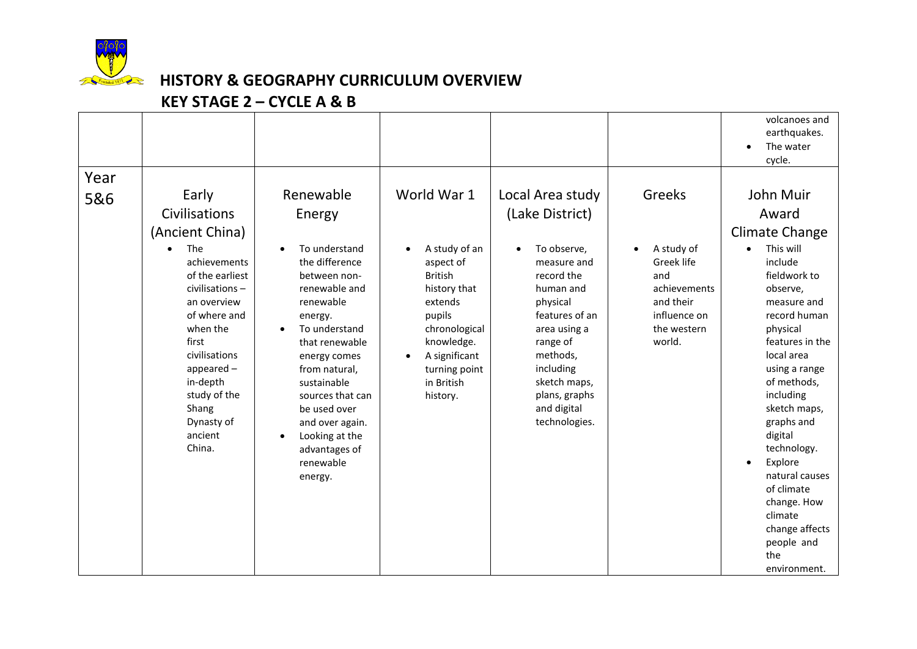

### **HISTORY & GEOGRAPHY CURRICULUM OVERVIEW**

#### **KEY STAGE 2 – CYCLE A & B**

|             |                                                                                                                                                                                                                                                                                 |                                                                                                                                                                                                                                                                                                                      |                                                                                                                                                                                                                       |                                                                                                                                                                                                                                                               |                                                                                                                 | volcanoes and<br>earthquakes.<br>The water<br>cycle.                                                                                                                                                                                                                                                                                                                                                      |
|-------------|---------------------------------------------------------------------------------------------------------------------------------------------------------------------------------------------------------------------------------------------------------------------------------|----------------------------------------------------------------------------------------------------------------------------------------------------------------------------------------------------------------------------------------------------------------------------------------------------------------------|-----------------------------------------------------------------------------------------------------------------------------------------------------------------------------------------------------------------------|---------------------------------------------------------------------------------------------------------------------------------------------------------------------------------------------------------------------------------------------------------------|-----------------------------------------------------------------------------------------------------------------|-----------------------------------------------------------------------------------------------------------------------------------------------------------------------------------------------------------------------------------------------------------------------------------------------------------------------------------------------------------------------------------------------------------|
| Year<br>5&6 | Early<br>Civilisations<br>(Ancient China)<br>The<br>$\bullet$<br>achievements<br>of the earliest<br>civilisations-<br>an overview<br>of where and<br>when the<br>first<br>civilisations<br>$appeated -$<br>in-depth<br>study of the<br>Shang<br>Dynasty of<br>ancient<br>China. | Renewable<br>Energy<br>To understand<br>the difference<br>between non-<br>renewable and<br>renewable<br>energy.<br>To understand<br>that renewable<br>energy comes<br>from natural,<br>sustainable<br>sources that can<br>be used over<br>and over again.<br>Looking at the<br>advantages of<br>renewable<br>energy. | World War 1<br>A study of an<br>$\bullet$<br>aspect of<br><b>British</b><br>history that<br>extends<br>pupils<br>chronological<br>knowledge.<br>A significant<br>$\bullet$<br>turning point<br>in British<br>history. | Local Area study<br>(Lake District)<br>To observe,<br>$\bullet$<br>measure and<br>record the<br>human and<br>physical<br>features of an<br>area using a<br>range of<br>methods,<br>including<br>sketch maps,<br>plans, graphs<br>and digital<br>technologies. | Greeks<br>A study of<br>Greek life<br>and<br>achievements<br>and their<br>influence on<br>the western<br>world. | John Muir<br>Award<br><b>Climate Change</b><br>This will<br>include<br>fieldwork to<br>observe,<br>measure and<br>record human<br>physical<br>features in the<br>local area<br>using a range<br>of methods,<br>including<br>sketch maps,<br>graphs and<br>digital<br>technology.<br>Explore<br>$\bullet$<br>natural causes<br>of climate<br>change. How<br>climate<br>change affects<br>people and<br>the |
|             |                                                                                                                                                                                                                                                                                 |                                                                                                                                                                                                                                                                                                                      |                                                                                                                                                                                                                       |                                                                                                                                                                                                                                                               |                                                                                                                 | environment.                                                                                                                                                                                                                                                                                                                                                                                              |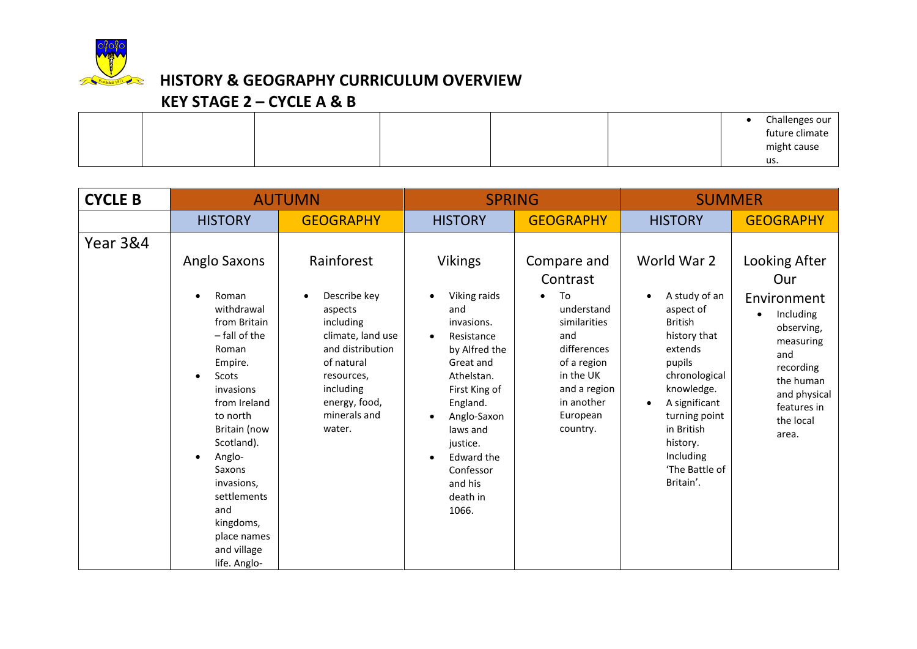

## **HISTORY & GEOGRAPHY CURRICULUM OVERVIEW**

#### **KEY STAGE 2 – CYCLE A & B**

|  |  |  | Challenges our |
|--|--|--|----------------|
|  |  |  | future climate |
|  |  |  | might cause    |
|  |  |  | us.            |

| <b>CYCLE B</b>      | <b>AUTUMN</b>                                                                                                                                                                                                                                                                               |                                                                                                                                                                                      | <b>SPRING</b>                                                                                                                                                                                                                                                          |                                                                                                                                                                     | <b>SUMMER</b>                                                                                                                                                                                                                           |                                                                                                                                                                                |
|---------------------|---------------------------------------------------------------------------------------------------------------------------------------------------------------------------------------------------------------------------------------------------------------------------------------------|--------------------------------------------------------------------------------------------------------------------------------------------------------------------------------------|------------------------------------------------------------------------------------------------------------------------------------------------------------------------------------------------------------------------------------------------------------------------|---------------------------------------------------------------------------------------------------------------------------------------------------------------------|-----------------------------------------------------------------------------------------------------------------------------------------------------------------------------------------------------------------------------------------|--------------------------------------------------------------------------------------------------------------------------------------------------------------------------------|
|                     | <b>HISTORY</b>                                                                                                                                                                                                                                                                              | <b>GEOGRAPHY</b>                                                                                                                                                                     | <b>HISTORY</b>                                                                                                                                                                                                                                                         | <b>GEOGRAPHY</b>                                                                                                                                                    | <b>HISTORY</b>                                                                                                                                                                                                                          | <b>GEOGRAPHY</b>                                                                                                                                                               |
| <b>Year 3&amp;4</b> | Anglo Saxons<br>Roman<br>withdrawal<br>from Britain<br>- fall of the<br>Roman<br>Empire.<br>Scots<br>invasions<br>from Ireland<br>to north<br>Britain (now<br>Scotland).<br>Anglo-<br>Saxons<br>invasions,<br>settlements<br>and<br>kingdoms,<br>place names<br>and village<br>life. Anglo- | Rainforest<br>Describe key<br>٠<br>aspects<br>including<br>climate, land use<br>and distribution<br>of natural<br>resources,<br>including<br>energy, food,<br>minerals and<br>water. | <b>Vikings</b><br>Viking raids<br>$\bullet$<br>and<br>invasions.<br>Resistance<br>$\bullet$<br>by Alfred the<br>Great and<br>Athelstan.<br>First King of<br>England.<br>Anglo-Saxon<br>laws and<br>justice.<br>Edward the<br>Confessor<br>and his<br>death in<br>1066. | Compare and<br>Contrast<br>To<br>understand<br>similarities<br>and<br>differences<br>of a region<br>in the UK<br>and a region<br>in another<br>European<br>country. | World War 2<br>A study of an<br>aspect of<br><b>British</b><br>history that<br>extends<br>pupils<br>chronological<br>knowledge.<br>A significant<br>turning point<br>in British<br>history.<br>Including<br>'The Battle of<br>Britain'. | Looking After<br>Our<br>Environment<br>Including<br>$\bullet$<br>observing,<br>measuring<br>and<br>recording<br>the human<br>and physical<br>features in<br>the local<br>area. |